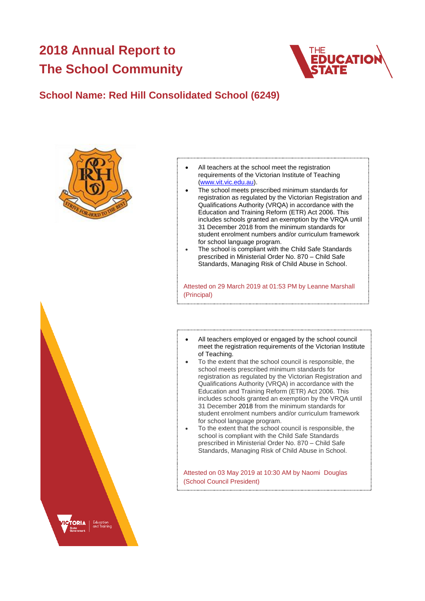# **2018 Annual Report to The School Community**



## **School Name: Red Hill Consolidated School (6249)**





- The school meets prescribed minimum standards for registration as regulated by the Victorian Registration and Qualifications Authority (VRQA) in accordance with the Education and Training Reform (ETR) Act 2006. This includes schools granted an exemption by the VRQA until 31 December 2018 from the minimum standards for student enrolment numbers and/or curriculum framework for school language program.
- The school is compliant with the Child Safe Standards prescribed in Ministerial Order No. 870 – Child Safe Standards, Managing Risk of Child Abuse in School.

Attested on 29 March 2019 at 01:53 PM by Leanne Marshall (Principal)

- All teachers employed or engaged by the school council meet the registration requirements of the Victorian Institute of Teaching.
- To the extent that the school council is responsible, the school meets prescribed minimum standards for registration as regulated by the Victorian Registration and Qualifications Authority (VRQA) in accordance with the Education and Training Reform (ETR) Act 2006. This includes schools granted an exemption by the VRQA until 31 December 2018 from the minimum standards for student enrolment numbers and/or curriculum framework for school language program.
- To the extent that the school council is responsible, the school is compliant with the Child Safe Standards prescribed in Ministerial Order No. 870 – Child Safe Standards, Managing Risk of Child Abuse in School.

Attested on 03 May 2019 at 10:30 AM by Naomi Douglas (School Council President)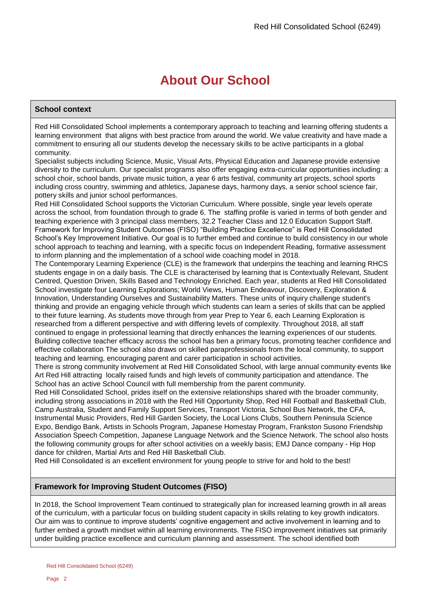# **About Our School**

### **School context**

Red Hill Consolidated School implements a contemporary approach to teaching and learning offering students a learning environment that aligns with best practice from around the world. We value creativity and have made a commitment to ensuring all our students develop the necessary skills to be active participants in a global community.

Specialist subjects including Science, Music, Visual Arts, Physical Education and Japanese provide extensive diversity to the curriculum. Our specialist programs also offer engaging extra-curricular opportunities including: a school choir, school bands, private music tuition, a year 6 arts festival, community art projects, school sports including cross country, swimming and athletics, Japanese days, harmony days, a senior school science fair, pottery skills and junior school performances.

Red Hill Consolidated School supports the Victorian Curriculum. Where possible, single year levels operate across the school, from foundation through to grade 6. The staffing profile is varied in terms of both gender and teaching experience with 3 principal class members, 32.2 Teacher Class and 12.0 Education Support Staff. Framework for Improving Student Outcomes (FISO) "Building Practice Excellence" is Red Hill Consolidated School's Key Improvement Initiative. Our goal is to further embed and continue to build consistency in our whole school approach to teaching and learning, with a specific focus on Independent Reading, formative assessment to inform planning and the implementation of a school wide coaching model in 2018.

The Contemporary Learning Experience (CLE) is the framework that underpins the teaching and learning RHCS students engage in on a daily basis. The CLE is characterised by learning that is Contextually Relevant, Student Centred, Question Driven, Skills Based and Technology Enriched. Each year, students at Red Hill Consolidated School investigate four Learning Explorations; World Views, Human Endeavour, Discovery, Exploration & Innovation, Understanding Ourselves and Sustainability Matters. These units of inquiry challenge student's thinking and provide an engaging vehicle through which students can learn a series of skills that can be applied to their future learning. As students move through from year Prep to Year 6, each Learning Exploration is researched from a different perspective and with differing levels of complexity. Throughout 2018, all staff continued to engage in professional learning that directly enhances the learning experiences of our students. Building collective teacher efficacy across the school has ben a primary focus, promoting teacher confidence and effective collaboration The school also draws on skilled paraprofessionals from the local community, to support teaching and learning, encouraging parent and carer participation in school activities.

There is strong community involvement at Red Hill Consolidated School, with large annual community events like Art Red Hill attracting locally raised funds and high levels of community participation and attendance. The School has an active School Council with full membership from the parent community.

Red Hill Consolidated School, prides itself on the extensive relationships shared with the broader community, including strong associations in 2018 with the Red Hill Opportunity Shop, Red Hill Football and Basketball Club, Camp Australia, Student and Family Support Services, Transport Victoria, School Bus Network, the CFA, Instrumental Music Providers, Red Hill Garden Society, the Local Lions Clubs, Southern Peninsula Science Expo, Bendigo Bank, Artists in Schools Program, Japanese Homestay Program, Frankston Susono Friendship Association Speech Competition, Japanese Language Network and the Science Network. The school also hosts the following community groups for after school activities on a weekly basis; EMJ Dance company - Hip Hop dance for children, Martial Arts and Red Hill Basketball Club.

Red Hill Consolidated is an excellent environment for young people to strive for and hold to the best!

### **Framework for Improving Student Outcomes (FISO)**

In 2018, the School Improvement Team continued to strategically plan for increased learning growth in all areas of the curriculum, with a particular focus on building student capacity in skills relating to key growth indicators. Our aim was to continue to improve students' cognitive engagement and active involvement in learning and to further embed a growth mindset within all learning environments. The FISO improvement initiatives sat primarily under building practice excellence and curriculum planning and assessment. The school identified both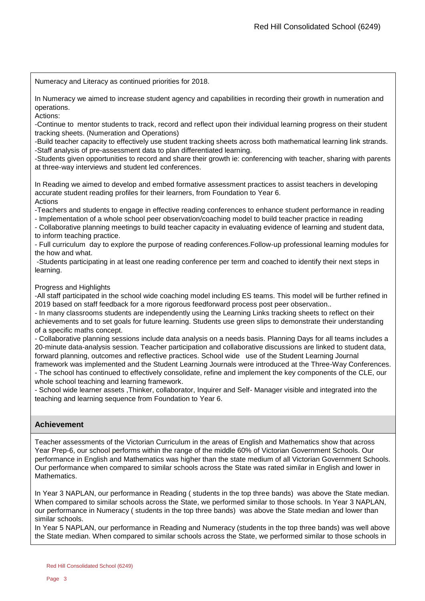Numeracy and Literacy as continued priorities for 2018.

In Numeracy we aimed to increase student agency and capabilities in recording their growth in numeration and operations.

Actions:

-Continue to mentor students to track, record and reflect upon their individual learning progress on their student tracking sheets. (Numeration and Operations)

-Build teacher capacity to effectively use student tracking sheets across both mathematical learning link strands. -Staff analysis of pre-assessment data to plan differentiated learning.

-Students given opportunities to record and share their growth ie: conferencing with teacher, sharing with parents at three-way interviews and student led conferences.

In Reading we aimed to develop and embed formative assessment practices to assist teachers in developing accurate student reading profiles for their learners, from Foundation to Year 6. Actions

-Teachers and students to engage in effective reading conferences to enhance student performance in reading

- Implementation of a whole school peer observation/coaching model to build teacher practice in reading

- Collaborative planning meetings to build teacher capacity in evaluating evidence of learning and student data, to inform teaching practice.

- Full curriculum day to explore the purpose of reading conferences.Follow-up professional learning modules for the how and what.

-Students participating in at least one reading conference per term and coached to identify their next steps in learning.

### Progress and Highlights

-All staff participated in the school wide coaching model including ES teams. This model will be further refined in 2019 based on staff feedback for a more rigorous feedforward process post peer observation..

- In many classrooms students are independently using the Learning Links tracking sheets to reflect on their achievements and to set goals for future learning. Students use green slips to demonstrate their understanding of a specific maths concept.

- Collaborative planning sessions include data analysis on a needs basis. Planning Days for all teams includes a 20-minute data-analysis session. Teacher participation and collaborative discussions are linked to student data, forward planning, outcomes and reflective practices. School wide use of the Student Learning Journal framework was implemented and the Student Learning Journals were introduced at the Three-Way Conferences.

- The school has continued to effectively consolidate, refine and implement the key components of the CLE, our whole school teaching and learning framework.

- School wide learner assets ,Thinker, collaborator, Inquirer and Self- Manager visible and integrated into the teaching and learning sequence from Foundation to Year 6.

### **Achievement**

Teacher assessments of the Victorian Curriculum in the areas of English and Mathematics show that across Year Prep-6, our school performs within the range of the middle 60% of Victorian Government Schools. Our performance in English and Mathematics was higher than the state medium of all Victorian Government Schools. Our performance when compared to similar schools across the State was rated similar in English and lower in Mathematics.

In Year 3 NAPLAN, our performance in Reading ( students in the top three bands) was above the State median. When compared to similar schools across the State, we performed similar to those schools. In Year 3 NAPLAN, our performance in Numeracy ( students in the top three bands) was above the State median and lower than similar schools.

In Year 5 NAPLAN, our performance in Reading and Numeracy (students in the top three bands) was well above the State median. When compared to similar schools across the State, we performed similar to those schools in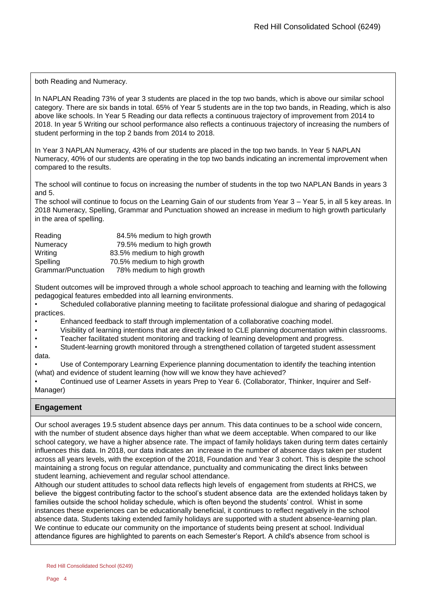both Reading and Numeracy.

In NAPLAN Reading 73% of year 3 students are placed in the top two bands, which is above our similar school category. There are six bands in total. 65% of Year 5 students are in the top two bands, in Reading, which is also above like schools. In Year 5 Reading our data reflects a continuous trajectory of improvement from 2014 to 2018. In year 5 Writing our school performance also reflects a continuous trajectory of increasing the numbers of student performing in the top 2 bands from 2014 to 2018.

In Year 3 NAPLAN Numeracy, 43% of our students are placed in the top two bands. In Year 5 NAPLAN Numeracy, 40% of our students are operating in the top two bands indicating an incremental improvement when compared to the results.

The school will continue to focus on increasing the number of students in the top two NAPLAN Bands in years 3 and 5.

The school will continue to focus on the Learning Gain of our students from Year 3 – Year 5, in all 5 key areas. In 2018 Numeracy, Spelling, Grammar and Punctuation showed an increase in medium to high growth particularly in the area of spelling.

| Reading             | 84.5% medium to high growth |
|---------------------|-----------------------------|
| Numeracy            | 79.5% medium to high growth |
| Writing             | 83.5% medium to high growth |
| Spelling            | 70.5% medium to high growth |
| Grammar/Punctuation | 78% medium to high growth   |

Student outcomes will be improved through a whole school approach to teaching and learning with the following pedagogical features embedded into all learning environments.

- Scheduled collaborative planning meeting to facilitate professional dialogue and sharing of pedagogical practices.
- Enhanced feedback to staff through implementation of a collaborative coaching model.
- Visibility of learning intentions that are directly linked to CLE planning documentation within classrooms.
- Teacher facilitated student monitoring and tracking of learning development and progress.
- Student-learning growth monitored through a strengthened collation of targeted student assessment
- data.

• Use of Contemporary Learning Experience planning documentation to identify the teaching intention (what) and evidence of student learning (how will we know they have achieved?

• Continued use of Learner Assets in years Prep to Year 6. (Collaborator, Thinker, Inquirer and Self-Manager)

### **Engagement**

Our school averages 19.5 student absence days per annum. This data continues to be a school wide concern, with the number of student absence days higher than what we deem acceptable. When compared to our like school category, we have a higher absence rate. The impact of family holidays taken during term dates certainly influences this data. In 2018, our data indicates an increase in the number of absence days taken per student across all years levels, with the exception of the 2018, Foundation and Year 3 cohort. This is despite the school maintaining a strong focus on regular attendance, punctuality and communicating the direct links between student learning, achievement and regular school attendance.

Although our student attitudes to school data reflects high levels of engagement from students at RHCS, we believe the biggest contributing factor to the school's student absence data are the extended holidays taken by families outside the school holiday schedule, which is often beyond the students' control. Whist in some instances these experiences can be educationally beneficial, it continues to reflect negatively in the school absence data. Students taking extended family holidays are supported with a student absence-learning plan. We continue to educate our community on the importance of students being present at school. Individual attendance figures are highlighted to parents on each Semester's Report. A child's absence from school is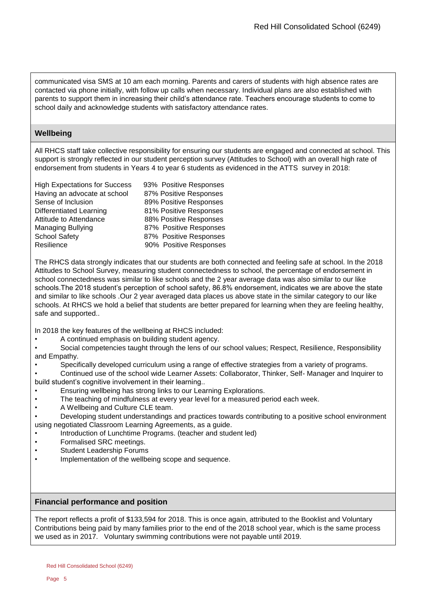communicated visa SMS at 10 am each morning. Parents and carers of students with high absence rates are contacted via phone initially, with follow up calls when necessary. Individual plans are also established with parents to support them in increasing their child's attendance rate. Teachers encourage students to come to school daily and acknowledge students with satisfactory attendance rates.

### **Wellbeing**

All RHCS staff take collective responsibility for ensuring our students are engaged and connected at school. This support is strongly reflected in our student perception survey (Attitudes to School) with an overall high rate of endorsement from students in Years 4 to year 6 students as evidenced in the ATTS survey in 2018:

| <b>High Expectations for Success</b> | 93% Positive Responses |
|--------------------------------------|------------------------|
| Having an advocate at school         | 87% Positive Responses |
| Sense of Inclusion                   | 89% Positive Responses |
| Differentiated Learning              | 81% Positive Responses |
| Attitude to Attendance               | 88% Positive Responses |
| <b>Managing Bullying</b>             | 87% Positive Responses |
| <b>School Safety</b>                 | 87% Positive Responses |
| Resilience                           | 90% Positive Responses |

The RHCS data strongly indicates that our students are both connected and feeling safe at school. In the 2018 Attitudes to School Survey, measuring student connectedness to school, the percentage of endorsement in school connectedness was similar to like schools and the 2 year average data was also similar to our like schools.The 2018 student's perception of school safety, 86.8% endorsement, indicates we are above the state and similar to like schools .Our 2 year averaged data places us above state in the similar category to our like schools. At RHCS we hold a belief that students are better prepared for learning when they are feeling healthy, safe and supported..

In 2018 the key features of the wellbeing at RHCS included:

• A continued emphasis on building student agency.

Social competencies taught through the lens of our school values; Respect, Resilience, Responsibility and Empathy.

• Specifically developed curriculum using a range of effective strategies from a variety of programs.

• Continued use of the school wide Learner Assets: Collaborator, Thinker, Self- Manager and Inquirer to build student's cognitive involvement in their learning..

- Ensuring wellbeing has strong links to our Learning Explorations.
- The teaching of mindfulness at every year level for a measured period each week.
- A Wellbeing and Culture CLE team.
- Developing student understandings and practices towards contributing to a positive school environment using negotiated Classroom Learning Agreements, as a guide.
- Introduction of Lunchtime Programs. (teacher and student led)
- Formalised SRC meetings.
- Student Leadership Forums
- Implementation of the wellbeing scope and sequence.

### **Financial performance and position**

The report reflects a profit of \$133,594 for 2018. This is once again, attributed to the Booklist and Voluntary Contributions being paid by many families prior to the end of the 2018 school year, which is the same process we used as in 2017. Voluntary swimming contributions were not payable until 2019.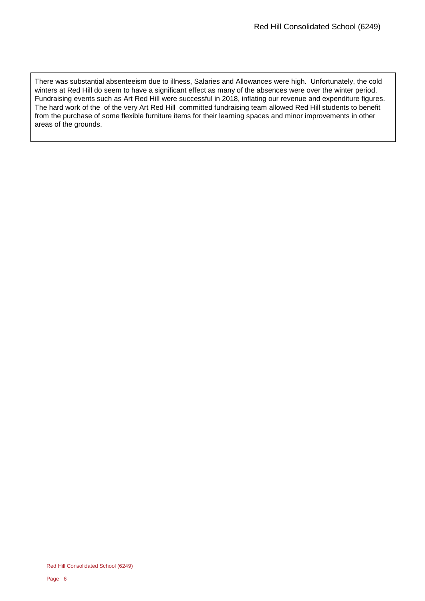There was substantial absenteeism due to illness, Salaries and Allowances were high. Unfortunately, the cold winters at Red Hill do seem to have a significant effect as many of the absences were over the winter period. Fundraising events such as Art Red Hill were successful in 2018, inflating our revenue and expenditure figures. The hard work of the of the very Art Red Hill committed fundraising team allowed Red Hill students to benefit from the purchase of some flexible furniture items for their learning spaces and minor improvements in other areas of the grounds.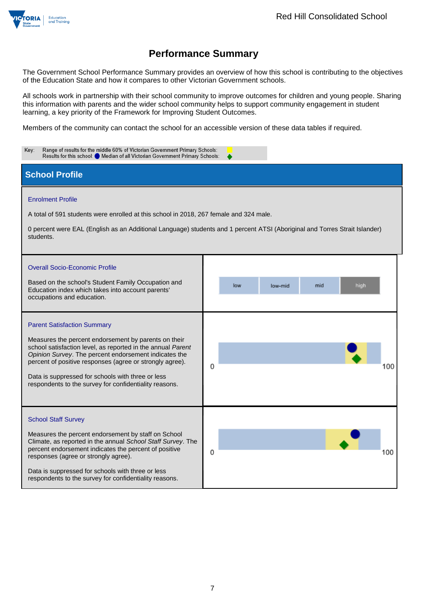

The Government School Performance Summary provides an overview of how this school is contributing to the objectives of the Education State and how it compares to other Victorian Government schools.

All schools work in partnership with their school community to improve outcomes for children and young people. Sharing this information with parents and the wider school community helps to support community engagement in student learning, a key priority of the Framework for Improving Student Outcomes.

Members of the community can contact the school for an accessible version of these data tables if required.

| Range of results for the middle 60% of Victorian Government Primary Schools:<br>Key:<br>Results for this school: Median of all Victorian Government Primary Schools:                                                                                                                                                                                                                          |                               |     |  |  |  |
|-----------------------------------------------------------------------------------------------------------------------------------------------------------------------------------------------------------------------------------------------------------------------------------------------------------------------------------------------------------------------------------------------|-------------------------------|-----|--|--|--|
| <b>School Profile</b>                                                                                                                                                                                                                                                                                                                                                                         |                               |     |  |  |  |
| <b>Enrolment Profile</b><br>A total of 591 students were enrolled at this school in 2018, 267 female and 324 male.<br>0 percent were EAL (English as an Additional Language) students and 1 percent ATSI (Aboriginal and Torres Strait Islander)<br>students.                                                                                                                                 |                               |     |  |  |  |
| <b>Overall Socio-Economic Profile</b><br>Based on the school's Student Family Occupation and<br>Education index which takes into account parents'<br>occupations and education.                                                                                                                                                                                                               | low<br>mid<br>high<br>low-mid |     |  |  |  |
| <b>Parent Satisfaction Summary</b><br>Measures the percent endorsement by parents on their<br>school satisfaction level, as reported in the annual Parent<br>Opinion Survey. The percent endorsement indicates the<br>percent of positive responses (agree or strongly agree).<br>Data is suppressed for schools with three or less<br>respondents to the survey for confidentiality reasons. | 0                             | 100 |  |  |  |
| <b>School Staff Survey</b><br>Measures the percent endorsement by staff on School<br>Climate, as reported in the annual School Staff Survey. The<br>percent endorsement indicates the percent of positive<br>responses (agree or strongly agree).<br>Data is suppressed for schools with three or less<br>respondents to the survey for confidentiality reasons.                              | 0                             | 100 |  |  |  |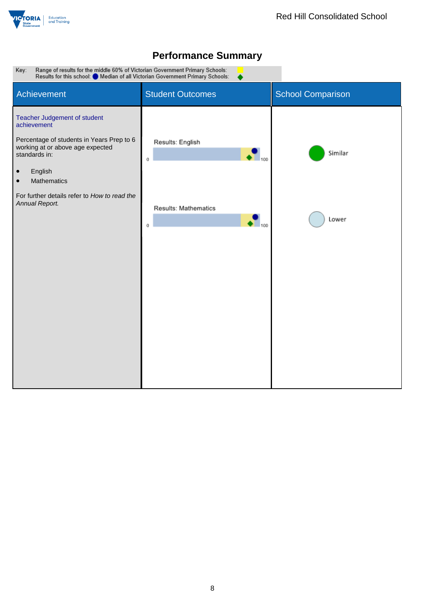



Range of results for the middle 60% of Victorian Government Primary Schools:<br>Results for this school: O Median of all Victorian Government Primary Schools: Key:

| Achievement                                                                                                                                                                                                                                                         | <b>Student Outcomes</b>                                                      | <b>School Comparison</b> |
|---------------------------------------------------------------------------------------------------------------------------------------------------------------------------------------------------------------------------------------------------------------------|------------------------------------------------------------------------------|--------------------------|
| Teacher Judgement of student<br>achievement<br>Percentage of students in Years Prep to 6<br>working at or above age expected<br>standards in:<br>English<br>$\bullet$<br>Mathematics<br>$\bullet$<br>For further details refer to How to read the<br>Annual Report. | Results: English<br>100<br>0<br>Results: Mathematics<br>$\frac{1}{100}$<br>0 | Similar<br>Lower         |
|                                                                                                                                                                                                                                                                     |                                                                              |                          |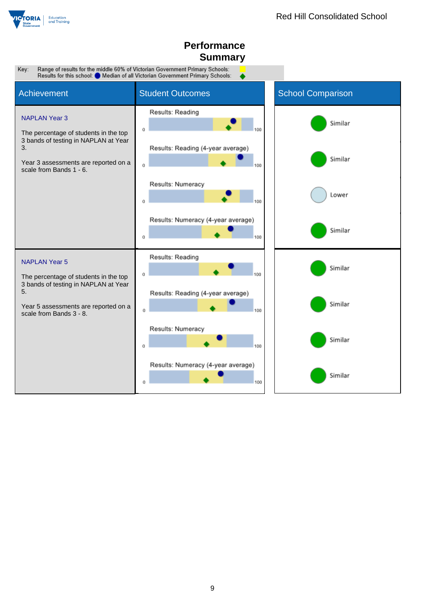

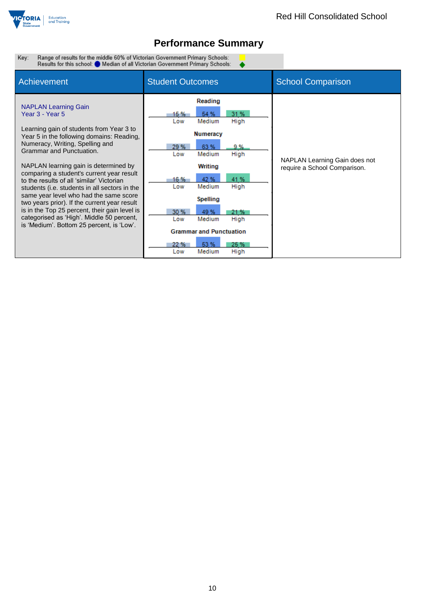

 $\bullet$ 

Range of results for the middle 60% of Victorian Government Primary Schools:<br>Results for this school: O Median of all Victorian Government Primary Schools: Key:

| Achievement                                                                                                                                                                                                                                                                                                                                                                                                                                                                                                                                                                                                                     | <b>Student Outcomes</b>                                                                                                                                                                                                                                                                                                                | <b>School Comparison</b>                                      |
|---------------------------------------------------------------------------------------------------------------------------------------------------------------------------------------------------------------------------------------------------------------------------------------------------------------------------------------------------------------------------------------------------------------------------------------------------------------------------------------------------------------------------------------------------------------------------------------------------------------------------------|----------------------------------------------------------------------------------------------------------------------------------------------------------------------------------------------------------------------------------------------------------------------------------------------------------------------------------------|---------------------------------------------------------------|
| <b>NAPLAN Learning Gain</b><br>Year 3 - Year 5<br>Learning gain of students from Year 3 to<br>Year 5 in the following domains: Reading,<br>Numeracy, Writing, Spelling and<br>Grammar and Punctuation.<br>NAPLAN learning gain is determined by<br>comparing a student's current year result<br>to the results of all 'similar' Victorian<br>students (i.e. students in all sectors in the<br>same year level who had the same score<br>two years prior). If the current year result<br>is in the Top 25 percent, their gain level is<br>categorised as 'High'. Middle 50 percent,<br>is 'Medium'. Bottom 25 percent, is 'Low'. | Reading<br>31 %<br>15 %<br>54 %<br>Medium<br>High<br>Low<br><b>Numeracy</b><br>29 %<br>63 %<br>9%<br>Medium<br>High<br>Low<br>Writing<br>42 %<br>41 %<br>16 %<br>Medium<br>High<br>Low<br>Spelling<br>30 %<br>49 %<br>21 %<br>Medium<br>High<br>Low<br><b>Grammar and Punctuation</b><br>53 %<br>22 %<br>25 %<br>Medium<br>High<br>Low | NAPLAN Learning Gain does not<br>require a School Comparison. |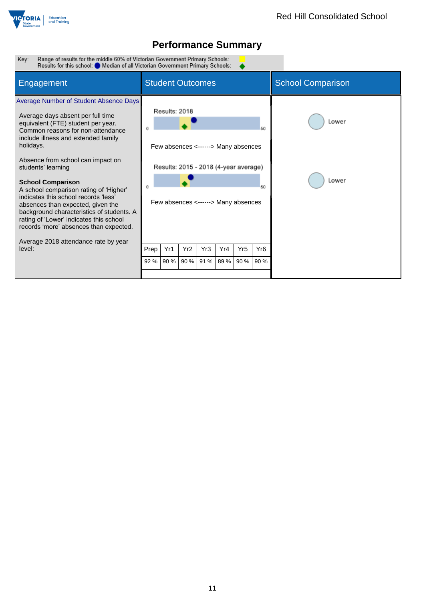

Range of results for the middle 60% of Victorian Government Primary Schools:<br>Results for this school: O Median of all Victorian Government Primary Schools: Key:

| Engagement                                                                                                                                                                                                                                                                                                                                                                                                                                                                                                                                                 | <b>Student Outcomes</b> |                                                                                                                                      |      |      |      |                 | <b>School Comparison</b> |                |
|------------------------------------------------------------------------------------------------------------------------------------------------------------------------------------------------------------------------------------------------------------------------------------------------------------------------------------------------------------------------------------------------------------------------------------------------------------------------------------------------------------------------------------------------------------|-------------------------|--------------------------------------------------------------------------------------------------------------------------------------|------|------|------|-----------------|--------------------------|----------------|
| Average Number of Student Absence Days<br>Average days absent per full time<br>equivalent (FTE) student per year.<br>Common reasons for non-attendance<br>include illness and extended family<br>holidays.<br>Absence from school can impact on<br>students' learning<br><b>School Comparison</b><br>A school comparison rating of 'Higher'<br>indicates this school records 'less'<br>absences than expected, given the<br>background characteristics of students. A<br>rating of 'Lower' indicates this school<br>records 'more' absences than expected. |                         | Results: 2018<br>Few absences <------> Many absences<br>Results: 2015 - 2018 (4-year average)<br>Few absences <------> Many absences |      |      |      |                 | 50<br>50                 | Lower<br>Lower |
| Average 2018 attendance rate by year<br>level:                                                                                                                                                                                                                                                                                                                                                                                                                                                                                                             | Prep                    | Yr1                                                                                                                                  | Yr2  | Yr3  | Yr4  | Yr <sub>5</sub> | Yr <sub>6</sub>          |                |
|                                                                                                                                                                                                                                                                                                                                                                                                                                                                                                                                                            | 92%                     | 90 %                                                                                                                                 | 90 % | 91 % | 89 % | 90 %            | 90 %                     |                |
|                                                                                                                                                                                                                                                                                                                                                                                                                                                                                                                                                            |                         |                                                                                                                                      |      |      |      |                 |                          |                |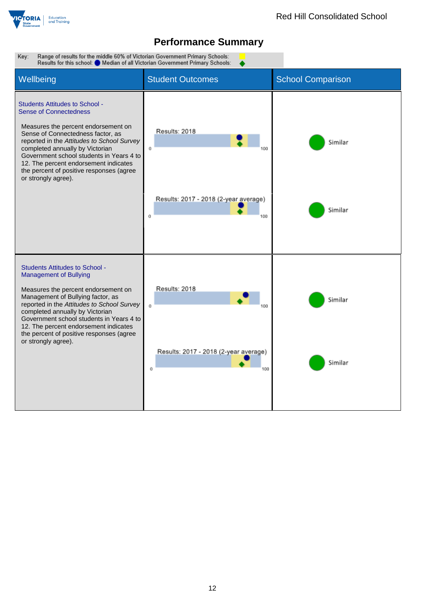

Key: Range of results for the middle 60% of Victorian Government Primary Schools: Results for this school: Median of all Victorian Government Primary Schools: Wellbeing **Student Outcomes** School Comparison Students Attitudes to School - Sense of Connectedness Measures the percent endorsement on Results: 2018 Sense of Connectedness factor, as reported in the *Attitudes to School Survey* Similar completed annually by Victorian  $\mathfrak{o}$ 100 Government school students in Years 4 to 12. The percent endorsement indicates the percent of positive responses (agree or strongly agree). Results: 2017 - 2018 (2-year average) Similar  $\mathbf{o}$ 100 Students Attitudes to School - Management of Bullying Results: 2018 Measures the percent endorsement on Management of Bullying factor, as Similar reported in the *Attitudes to School Survey*  $\alpha$ 100 completed annually by Victorian Government school students in Years 4 to 12. The percent endorsement indicates the percent of positive responses (agree or strongly agree).Results: 2017 - 2018 (2-year average) Similar  $\alpha$ 100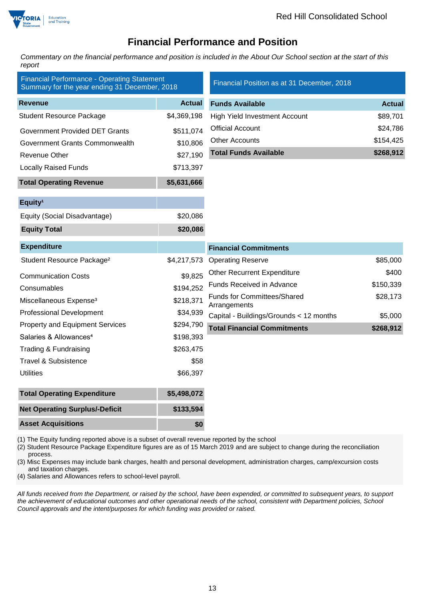

### **Financial Performance and Position**

*Commentary on the financial performance and position is included in the About Our School section at the start of this report*

| <b>Financial Performance - Operating Statement</b><br>Summary for the year ending 31 December, 2018 |               | Financial Position as at 31 December, 2018         |               |
|-----------------------------------------------------------------------------------------------------|---------------|----------------------------------------------------|---------------|
| <b>Revenue</b>                                                                                      | <b>Actual</b> | <b>Funds Available</b>                             | <b>Actual</b> |
| <b>Student Resource Package</b>                                                                     | \$4,369,198   | <b>High Yield Investment Account</b>               | \$89,701      |
| <b>Government Provided DET Grants</b>                                                               | \$511,074     | <b>Official Account</b>                            | \$24,786      |
| Government Grants Commonwealth                                                                      | \$10,806      | <b>Other Accounts</b>                              | \$154,425     |
| Revenue Other                                                                                       | \$27,190      | <b>Total Funds Available</b>                       | \$268,912     |
| <b>Locally Raised Funds</b>                                                                         | \$713,397     |                                                    |               |
| <b>Total Operating Revenue</b>                                                                      | \$5,631,666   |                                                    |               |
| Equity <sup>1</sup>                                                                                 |               |                                                    |               |
| Equity (Social Disadvantage)                                                                        | \$20,086      |                                                    |               |
| <b>Equity Total</b>                                                                                 | \$20,086      |                                                    |               |
| <b>Expenditure</b>                                                                                  |               | <b>Financial Commitments</b>                       |               |
| Student Resource Package <sup>2</sup>                                                               | \$4,217,573   | <b>Operating Reserve</b>                           | \$85,000      |
| <b>Communication Costs</b>                                                                          | \$9,825       | <b>Other Recurrent Expenditure</b>                 | \$400         |
| Consumables                                                                                         | \$194,252     | Funds Received in Advance                          | \$150,339     |
| Miscellaneous Expense <sup>3</sup>                                                                  | \$218,371     | <b>Funds for Committees/Shared</b><br>Arrangements | \$28,173      |
| <b>Professional Development</b>                                                                     | \$34,939      | Capital - Buildings/Grounds < 12 months            | \$5,000       |
| <b>Property and Equipment Services</b>                                                              | \$294,790     | <b>Total Financial Commitments</b>                 | \$268,912     |
| Salaries & Allowances <sup>4</sup>                                                                  | \$198,393     |                                                    |               |
| Trading & Fundraising                                                                               | \$263,475     |                                                    |               |
| <b>Travel &amp; Subsistence</b>                                                                     | \$58          |                                                    |               |
| <b>Utilities</b>                                                                                    | \$66,397      |                                                    |               |
| <b>Total Operating Expenditure</b>                                                                  | \$5,498,072   |                                                    |               |
| <b>Net Operating Surplus/-Deficit</b>                                                               | \$133,594     |                                                    |               |
| <b>Asset Acquisitions</b>                                                                           | \$0           |                                                    |               |

(1) The Equity funding reported above is a subset of overall revenue reported by the school

(2) Student Resource Package Expenditure figures are as of 15 March 2019 and are subject to change during the reconciliation process.

(3) Misc Expenses may include bank charges, health and personal development, administration charges, camp/excursion costs and taxation charges.

(4) Salaries and Allowances refers to school-level payroll.

*All funds received from the Department, or raised by the school, have been expended, or committed to subsequent years, to support the achievement of educational outcomes and other operational needs of the school, consistent with Department policies, School Council approvals and the intent/purposes for which funding was provided or raised.*